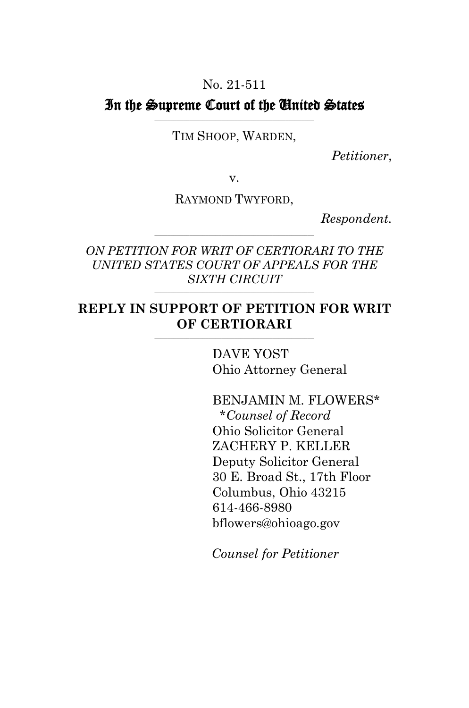### No. 21-511

#### In the Supreme Court of the United States **\_\_\_\_\_\_\_\_\_\_\_\_\_\_\_\_\_\_\_\_\_\_\_\_\_\_\_\_\_\_\_\_\_\_\_\_\_\_\_\_\_\_\_\_\_\_\_\_\_\_**

TIM SHOOP, WARDEN,

*Petitioner*,

v.

RAYMOND TWYFORD,

*Respondent.*

*ON PETITION FOR WRIT OF CERTIORARI TO THE UNITED STATES COURT OF APPEALS FOR THE SIXTH CIRCUIT*

**\_\_\_\_\_\_\_\_\_\_\_\_\_\_\_\_\_\_\_\_\_\_\_\_\_\_\_\_\_\_\_\_\_\_\_\_\_\_\_\_\_\_\_\_\_\_\_\_\_\_**

**\_\_\_\_\_\_\_\_\_\_\_\_\_\_\_\_\_\_\_\_\_\_\_\_\_\_\_\_\_\_\_\_\_\_\_\_\_\_\_\_\_\_\_\_\_\_\_\_\_\_**

#### **REPLY IN SUPPORT OF PETITION FOR WRIT OF CERTIORARI \_\_\_\_\_\_\_\_\_\_\_\_\_\_\_\_\_\_\_\_\_\_\_\_\_\_\_\_\_\_\_\_\_\_\_\_\_\_\_\_\_\_\_\_\_\_\_\_\_\_**

DAVE YOST Ohio Attorney General

BENJAMIN M. FLOWERS\* \**Counsel of Record* Ohio Solicitor General ZACHERY P. KELLER Deputy Solicitor General 30 E. Broad St., 17th Floor Columbus, Ohio 43215 614-466-8980 bflowers@ohioago.gov

*Counsel for Petitioner*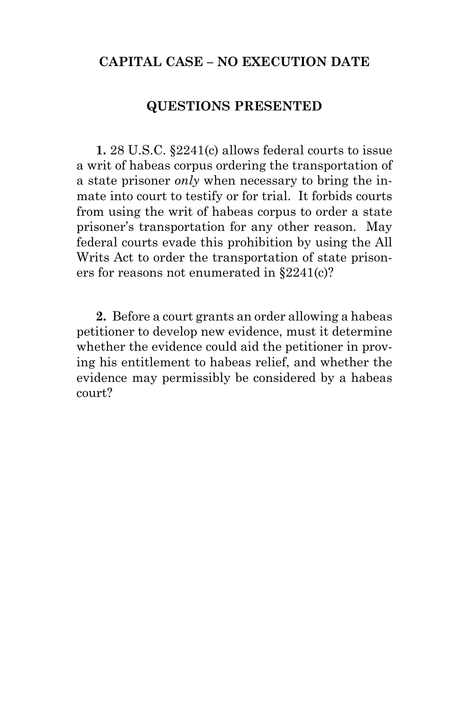## **CAPITAL CASE – NO EXECUTION DATE**

### **QUESTIONS PRESENTED**

<span id="page-1-0"></span>**1.** 28 U.S.C. §2241(c) allows federal courts to issue a writ of habeas corpus ordering the transportation of a state prisoner *only* when necessary to bring the inmate into court to testify or for trial.It forbids courts from using the writ of habeas corpus to order a state prisoner's transportation for any other reason.May federal courts evade this prohibition by using the All Writs Act to order the transportation of state prisoners for reasons not enumerated in §2241(c)?

**2.**Before a court grants an order allowing a habeas petitioner to develop new evidence, must it determine whether the evidence could aid the petitioner in proving his entitlement to habeas relief, and whether the evidence may permissibly be considered by a habeas court?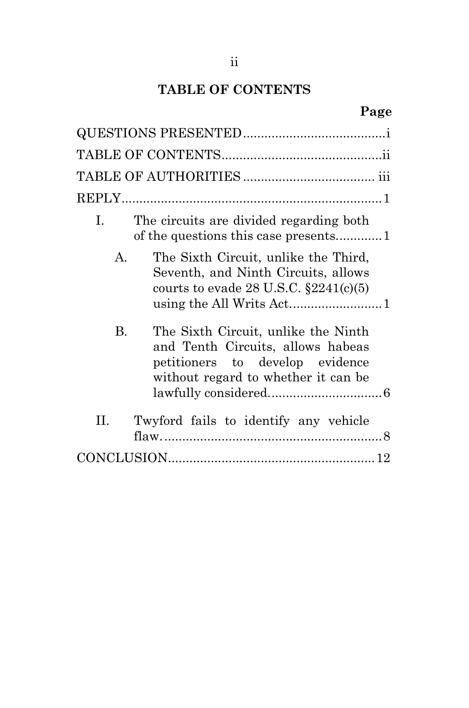# **TABLE OF CONTENTS**

# **Page**

<span id="page-2-0"></span>

| The circuits are divided regarding both<br>L                                                                                                             |
|----------------------------------------------------------------------------------------------------------------------------------------------------------|
| $\mathsf{A}$<br>The Sixth Circuit, unlike the Third,<br>Seventh, and Ninth Circuits, allows<br>courts to evade 28 U.S.C. $\S 2241(c)(5)$                 |
| B.<br>The Sixth Circuit, unlike the Ninth<br>and Tenth Circuits, allows habeas<br>petitioners to develop evidence<br>without regard to whether it can be |
| П.<br>Twyford fails to identify any vehicle                                                                                                              |
|                                                                                                                                                          |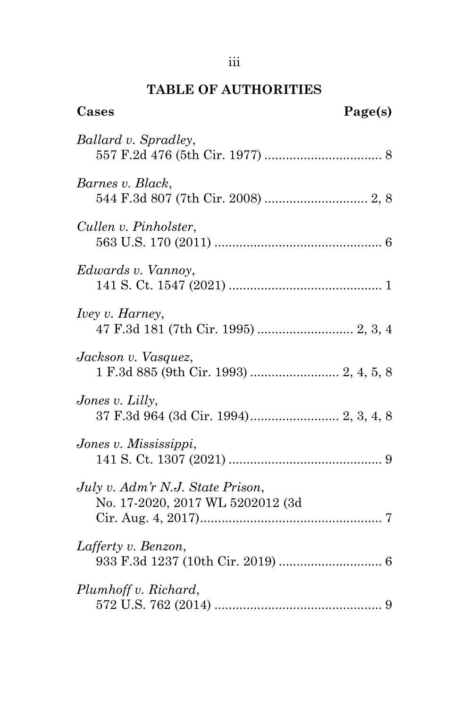# **TABLE OF AUTHORITIES**

<span id="page-3-0"></span>

| Cases                                                                | Page(s) |
|----------------------------------------------------------------------|---------|
| Ballard v. Spradley,                                                 |         |
| Barnes v. Black,                                                     |         |
| Cullen v. Pinholster,                                                |         |
| Edwards v. Vannoy,                                                   |         |
| <i>Ivey v. Harney,</i>                                               |         |
| Jackson v. Vasquez,<br>1 F.3d 885 (9th Cir. 1993)  2, 4, 5, 8        |         |
| Jones v. Lilly,                                                      |         |
| Jones v. Mississippi,                                                |         |
| July v. Adm'r N.J. State Prison,<br>No. 17-2020, 2017 WL 5202012 (3d |         |
| Lafferty v. Benzon,                                                  |         |
| Plumhoff v. Richard,                                                 |         |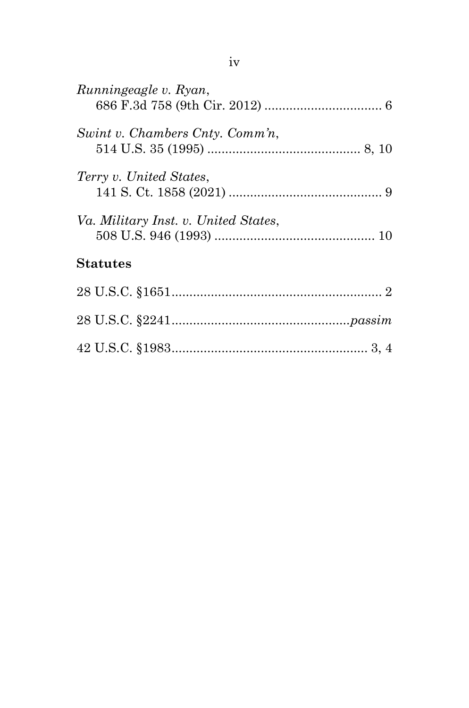| Runningeagle v. Ryan,                |
|--------------------------------------|
| Swint v. Chambers Cnty. Comm'n,      |
| Terry v. United States,              |
| Va. Military Inst. v. United States, |
| <b>Statutes</b>                      |
|                                      |
|                                      |
|                                      |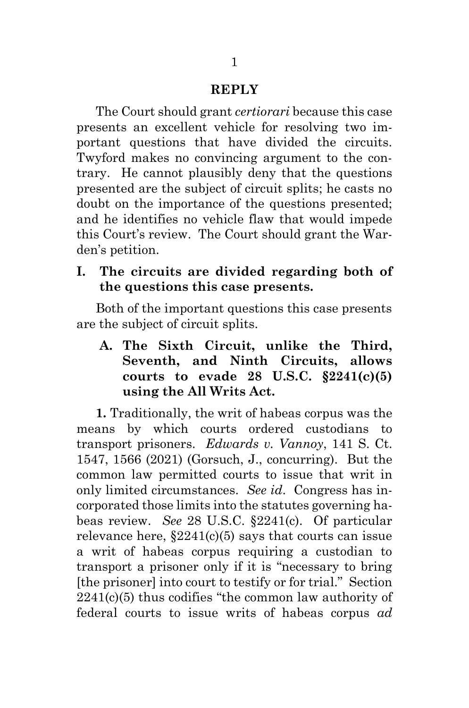### **REPLY**

<span id="page-5-0"></span>The Court should grant *certiorari* because this case presents an excellent vehicle for resolving two important questions that have divided the circuits. Twyford makes no convincing argument to the contrary.He cannot plausibly deny that the questions presented are the subject of circuit splits; he casts no doubt on the importance of the questions presented; and he identifies no vehicle flaw that would impede this Court's review.The Court should grant the Warden's petition.

### <span id="page-5-1"></span>**I. The circuits are divided regarding both of the questions this case presents.**

Both of the important questions this case presents are the subject of circuit splits.

<span id="page-5-4"></span><span id="page-5-2"></span>**A. The Sixth Circuit, unlike the Third, Seventh, and Ninth Circuits, allows courts to evade 28 U.S.C. §2241(c)(5) using the All Writs Act.**

<span id="page-5-3"></span>**1.** Traditionally, the writ of habeas corpus was the means by which courts ordered custodians to transport prisoners. *Edwards v. Vannoy*, 141 S. Ct. 1547, 1566 (2021) (Gorsuch, J., concurring).But the common law permitted courts to issue that writ in only limited circumstances. *See id*.Congress has incorporated those limits into the statutes governing habeas review. *See* 28 U.S.C. §2241(c). Of particular relevance here,  $\S 2241(c)(5)$  says that courts can issue a writ of habeas corpus requiring a custodian to transport a prisoner only if it is "necessary to bring [the prisoner] into court to testify or for trial."Section 2241(c)(5) thus codifies "the common law authority of federal courts to issue writs of habeas corpus *ad*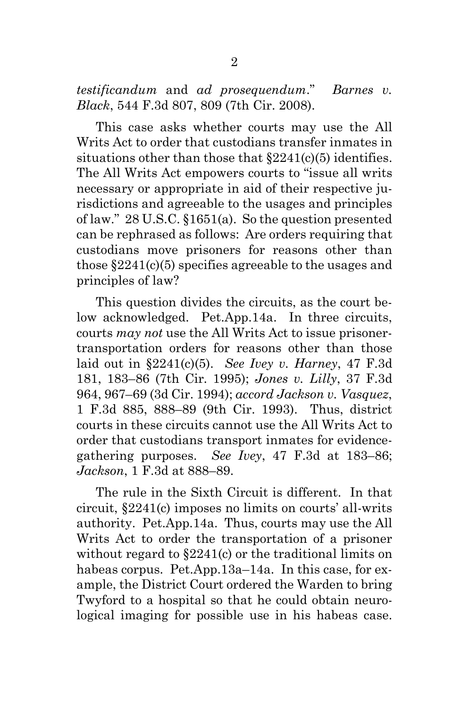<span id="page-6-0"></span>*testificandum* and *ad prosequendum*." *Barnes v. Black*, 544 F.3d 807, 809 (7th Cir. 2008).

This case asks whether courts may use the All Writs Act to order that custodians transfer inmates in situations other than those that §2241(c)(5) identifies. The All Writs Act empowers courts to "issue all writs necessary or appropriate in aid of their respective jurisdictions and agreeable to the usages and principles of law."28 U.S.C. §1651(a).So the question presented can be rephrased as follows:Are orders requiring that custodians move prisoners for reasons other than those §2241(c)(5) specifies agreeable to the usages and principles of law?

<span id="page-6-4"></span><span id="page-6-3"></span><span id="page-6-2"></span><span id="page-6-1"></span>This question divides the circuits, as the court below acknowledged.Pet.App.14a.In three circuits, courts *may not* use the All Writs Act to issue prisonertransportation orders for reasons other than those laid out in §2241(c)(5). *See Ivey v. Harney*, 47 F.3d 181, 183–86 (7th Cir. 1995); *Jones v. Lilly*, 37 F.3d 964, 967–69 (3d Cir. 1994); *accord Jackson v. Vasquez*, 1 F.3d 885, 888–89 (9th Cir. 1993).Thus, district courts in these circuits cannot use the All Writs Act to order that custodians transport inmates for evidencegathering purposes. *See Ivey*, 47 F.3d at 183–86; *Jackson*, 1 F.3d at 888–89.

The rule in the Sixth Circuit is different.In that circuit, §2241(c) imposes no limits on courts' all-writs authority.Pet.App.14a.Thus, courts may use the All Writs Act to order the transportation of a prisoner without regard to  $$2241(c)$  or the traditional limits on habeas corpus.Pet.App.13a–14a.In this case, for example, the District Court ordered the Warden to bring Twyford to a hospital so that he could obtain neurological imaging for possible use in his habeas case.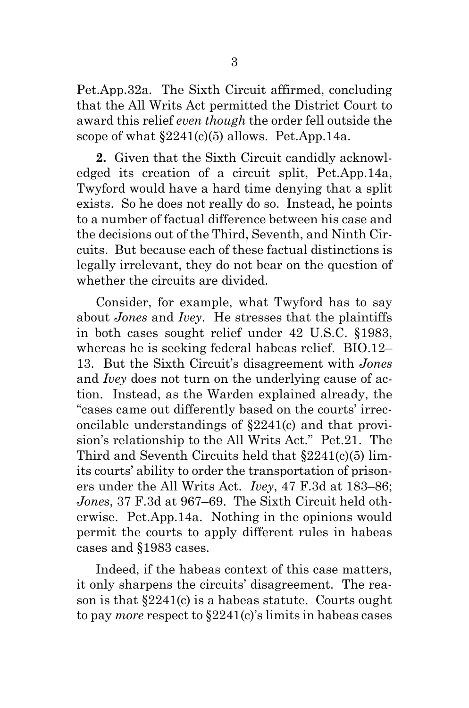Pet.App.32a.The Sixth Circuit affirmed, concluding that the All Writs Act permitted the District Court to award this relief *even though* the order fell outside the scope of what §2241(c)(5) allows.Pet.App.14a.

**2.**Given that the Sixth Circuit candidly acknowledged its creation of a circuit split, Pet.App.14a, Twyford would have a hard time denying that a split exists.So he does not really do so.Instead, he points to a number of factual difference between his case and the decisions out of the Third, Seventh, and Ninth Circuits.But because each of these factual distinctions is legally irrelevant, they do not bear on the question of whether the circuits are divided.

<span id="page-7-2"></span><span id="page-7-1"></span><span id="page-7-0"></span>Consider, for example, what Twyford has to say about *Jones* and *Ivey*.He stresses that the plaintiffs in both cases sought relief under 42 U.S.C. §1983, whereas he is seeking federal habeas relief.BIO.12– 13.But the Sixth Circuit's disagreement with *Jones* and *Ivey* does not turn on the underlying cause of action.Instead, as the Warden explained already, the "cases came out differently based on the courts' irreconcilable understandings of §2241(c) and that provision's relationship to the All Writs Act."Pet.21.The Third and Seventh Circuits held that §2241(c)(5) limits courts' ability to order the transportation of prisoners under the All Writs Act. *Ivey*, 47 F.3d at 183–86; *Jones*, 37 F.3d at 967–69.The Sixth Circuit held otherwise.Pet.App.14a.Nothing in the opinions would permit the courts to apply different rules in habeas cases and §1983 cases.

Indeed, if the habeas context of this case matters, it only sharpens the circuits' disagreement. The reason is that §2241(c) is a habeas statute. Courts ought to pay *more* respect to §2241(c)'s limits in habeas cases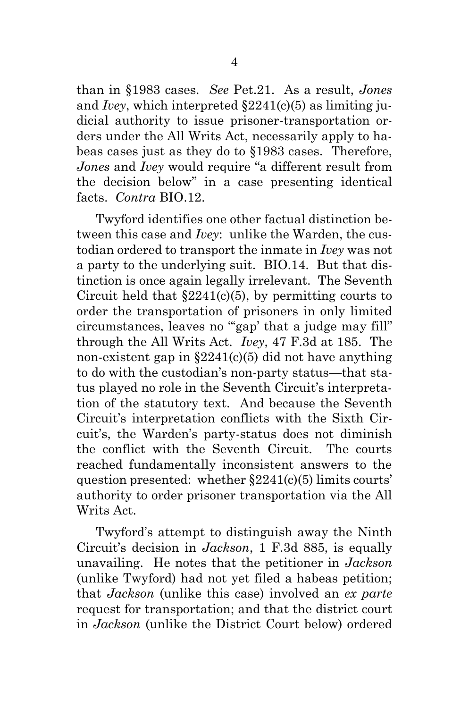<span id="page-8-3"></span><span id="page-8-2"></span><span id="page-8-0"></span>than in §1983 cases. *See* Pet.21. As a result, *Jones*  and *Ivey*, which interpreted §2241(c)(5) as limiting judicial authority to issue prisoner-transportation orders under the All Writs Act, necessarily apply to habeas cases just as they do to §1983 cases. Therefore, *Jones* and *Ivey* would require "a different result from the decision below" in a case presenting identical facts. *Contra* BIO.12.

Twyford identifies one other factual distinction between this case and *Ivey*:unlike the Warden, the custodian ordered to transport the inmate in *Ivey* was not a party to the underlying suit.BIO.14.But that distinction is once again legally irrelevant.The Seventh Circuit held that  $\S 2241(c)(5)$ , by permitting courts to order the transportation of prisoners in only limited circumstances, leaves no "'gap' that a judge may fill" through the All Writs Act. *Ivey*, 47 F.3d at 185.The non-existent gap in  $\S2241(c)(5)$  did not have anything to do with the custodian's non-party status—that status played no role in the Seventh Circuit's interpretation of the statutory text.And because the Seventh Circuit's interpretation conflicts with the Sixth Circuit's, the Warden's party-status does not diminish the conflict with the Seventh Circuit. The courts reached fundamentally inconsistent answers to the question presented: whether  $\S 2241(c)(5)$  limits courts' authority to order prisoner transportation via the All Writs Act.

<span id="page-8-1"></span>Twyford's attempt to distinguish away the Ninth Circuit's decision in *Jackson*, 1 F.3d 885, is equally unavailing.He notes that the petitioner in *Jackson*  (unlike Twyford) had not yet filed a habeas petition; that *Jackson* (unlike this case) involved an *ex parte*  request for transportation; and that the district court in *Jackson* (unlike the District Court below) ordered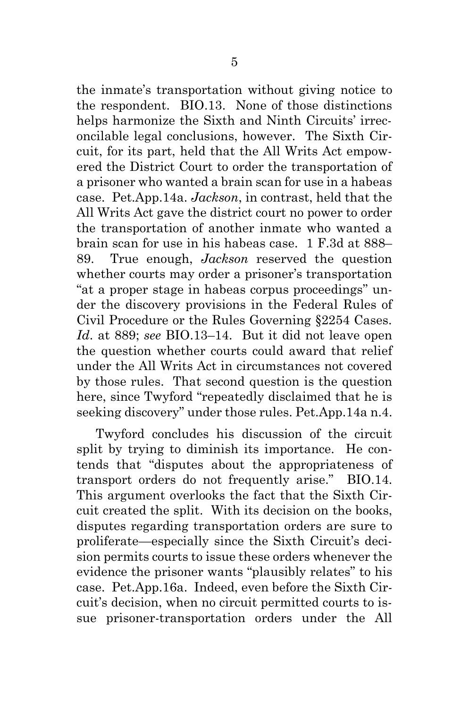<span id="page-9-0"></span>the inmate's transportation without giving notice to the respondent.BIO.13. None of those distinctions helps harmonize the Sixth and Ninth Circuits' irreconcilable legal conclusions, however. The Sixth Circuit, for its part, held that the All Writs Act empowered the District Court to order the transportation of a prisoner who wanted a brain scan for use in a habeas case. Pet.App.14a. *Jackson*, in contrast, held that the All Writs Act gave the district court no power to order the transportation of another inmate who wanted a brain scan for use in his habeas case*.* 1 F.3d at 888– 89.True enough, *Jackson* reserved the question whether courts may order a prisoner's transportation "at a proper stage in habeas corpus proceedings" under the discovery provisions in the Federal Rules of Civil Procedure or the Rules Governing §2254 Cases. *Id*. at 889; *see* BIO.13–14. But it did not leave open the question whether courts could award that relief under the All Writs Act in circumstances not covered by those rules. That second question is the question here, since Twyford "repeatedly disclaimed that he is seeking discovery" under those rules. Pet.App.14a n.4.

Twyford concludes his discussion of the circuit split by trying to diminish its importance.He contends that "disputes about the appropriateness of transport orders do not frequently arise."BIO.14. This argument overlooks the fact that the Sixth Circuit created the split.With its decision on the books, disputes regarding transportation orders are sure to proliferate—especially since the Sixth Circuit's decision permits courts to issue these orders whenever the evidence the prisoner wants "plausibly relates" to his case.Pet.App.16a.Indeed, even before the Sixth Circuit's decision, when no circuit permitted courts to issue prisoner-transportation orders under the All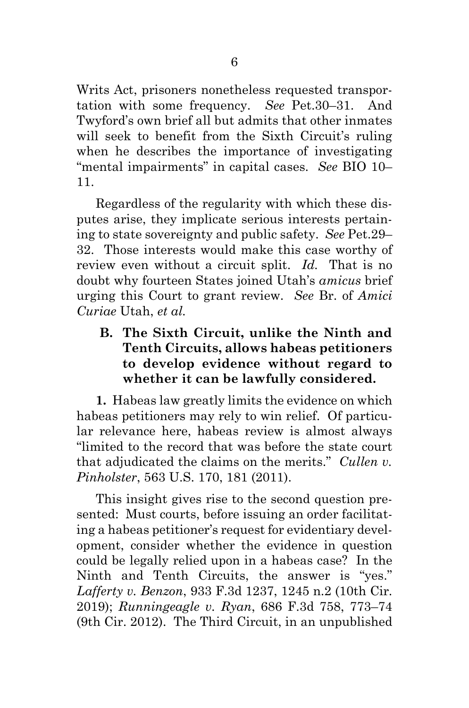Writs Act, prisoners nonetheless requested transportation with some frequency. *See* Pet.30–31.And Twyford's own brief all but admits that other inmates will seek to benefit from the Sixth Circuit's ruling when he describes the importance of investigating "mental impairments" in capital cases. *See* BIO 10– 11.

Regardless of the regularity with which these disputes arise, they implicate serious interests pertaining to state sovereignty and public safety. *See* Pet.29– 32.Those interests would make this case worthy of review even without a circuit split. *Id.* That is no doubt why fourteen States joined Utah's *amicus* brief urging this Court to grant review. *See* Br. of *Amici Curiae* Utah, *et al.*

<span id="page-10-0"></span>**B. The Sixth Circuit, unlike the Ninth and Tenth Circuits, allows habeas petitioners to develop evidence without regard to whether it can be lawfully considered.**

**1.**Habeas law greatly limits the evidence on which habeas petitioners may rely to win relief.Of particular relevance here, habeas review is almost always "limited to the record that was before the state court that adjudicated the claims on the merits." *Cullen v. Pinholster*, 563 U.S. 170, 181 (2011).

<span id="page-10-3"></span><span id="page-10-2"></span><span id="page-10-1"></span>This insight gives rise to the second question presented:Must courts, before issuing an order facilitating a habeas petitioner's request for evidentiary development, consider whether the evidence in question could be legally relied upon in a habeas case?In the Ninth and Tenth Circuits, the answer is "yes." *Lafferty v. Benzon*, 933 F.3d 1237, 1245 n.2 (10th Cir. 2019); *Runningeagle v. Ryan*, 686 F.3d 758, 773–74 (9th Cir. 2012).The Third Circuit, in an unpublished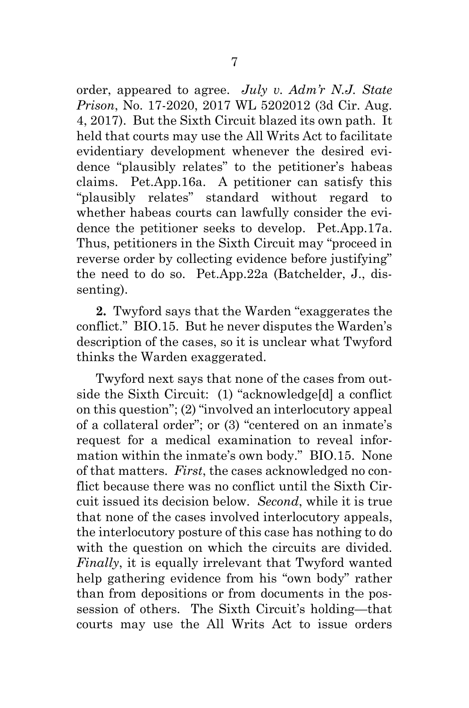<span id="page-11-0"></span>order, appeared to agree. *July v. Adm'r N.J. State Prison*, No. 17-2020, 2017 WL 5202012 (3d Cir. Aug. 4, 2017).But the Sixth Circuit blazed its own path.It held that courts may use the All Writs Act to facilitate evidentiary development whenever the desired evidence "plausibly relates" to the petitioner's habeas claims.Pet.App.16a.A petitioner can satisfy this "plausibly relates" standard without regard to whether habeas courts can lawfully consider the evidence the petitioner seeks to develop.Pet.App.17a. Thus, petitioners in the Sixth Circuit may "proceed in reverse order by collecting evidence before justifying" the need to do so. Pet.App.22a (Batchelder, J., dissenting).

**2.**Twyford says that the Warden "exaggerates the conflict."BIO.15.But he never disputes the Warden's description of the cases, so it is unclear what Twyford thinks the Warden exaggerated.

Twyford next says that none of the cases from outside the Sixth Circuit:(1) "acknowledge[d] a conflict on this question"; (2) "involved an interlocutory appeal of a collateral order"; or (3) "centered on an inmate's request for a medical examination to reveal information within the inmate's own body."BIO.15.None of that matters. *First*, the cases acknowledged no conflict because there was no conflict until the Sixth Circuit issued its decision below. *Second*, while it is true that none of the cases involved interlocutory appeals, the interlocutory posture of this case has nothing to do with the question on which the circuits are divided. *Finally*, it is equally irrelevant that Twyford wanted help gathering evidence from his "own body" rather than from depositions or from documents in the possession of others.The Sixth Circuit's holding—that courts may use the All Writs Act to issue orders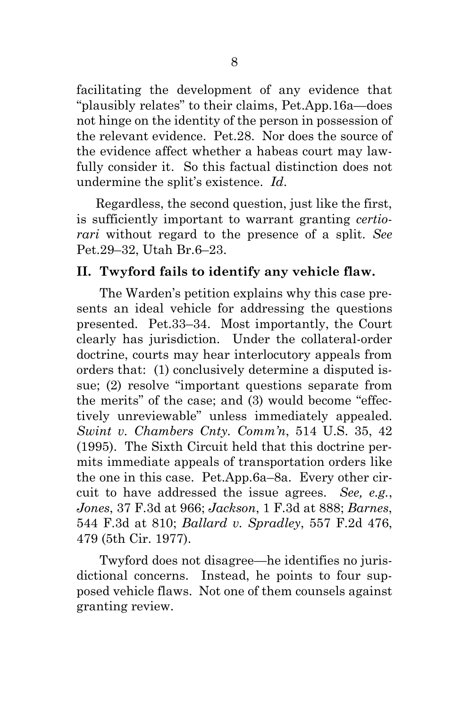facilitating the development of any evidence that "plausibly relates" to their claims, Pet.App.16a—does not hinge on the identity of the person in possession of the relevant evidence.Pet.28.Nor does the source of the evidence affect whether a habeas court may lawfully consider it.So this factual distinction does not undermine the split's existence. *Id*.

Regardless, the second question, just like the first, is sufficiently important to warrant granting *certiorari* without regard to the presence of a split. *See*  Pet.29–32, Utah Br.6–23.

### <span id="page-12-0"></span>**II. Twyford fails to identify any vehicle flaw.**

The Warden's petition explains why this case presents an ideal vehicle for addressing the questions presented.Pet.33–34.Most importantly, the Court clearly has jurisdiction.Under the collateral-order doctrine, courts may hear interlocutory appeals from orders that:(1) conclusively determine a disputed issue; (2) resolve "important questions separate from the merits" of the case; and (3) would become "effectively unreviewable" unless immediately appealed. *Swint v. Chambers Cnty. Comm'n*, 514 U.S. 35, 42 (1995).The Sixth Circuit held that this doctrine permits immediate appeals of transportation orders like the one in this case.Pet.App.6a–8a.Every other circuit to have addressed the issue agrees. *See, e.g.*, *Jones*, 37 F.3d at 966; *Jackson*, 1 F.3d at 888; *Barnes*, 544 F.3d at 810; *Ballard v. Spradley*, 557 F.2d 476, 479 (5th Cir. 1977).

<span id="page-12-5"></span><span id="page-12-4"></span><span id="page-12-3"></span><span id="page-12-2"></span><span id="page-12-1"></span>Twyford does not disagree—he identifies no jurisdictional concerns.Instead, he points to four supposed vehicle flaws. Not one of them counsels against granting review.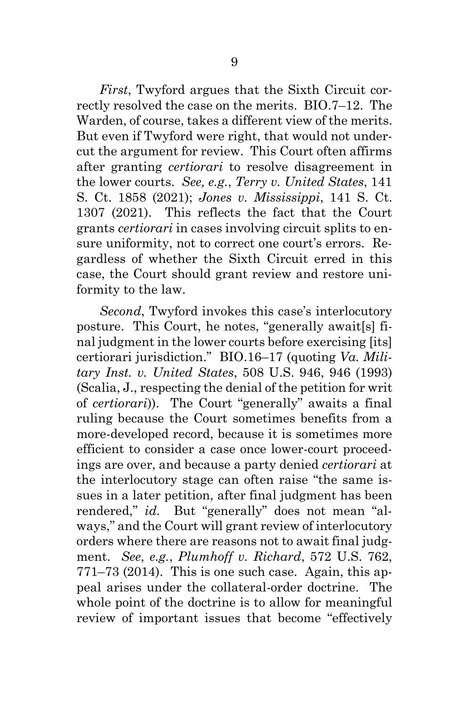<span id="page-13-2"></span><span id="page-13-0"></span>*First*, Twyford argues that the Sixth Circuit correctly resolved the case on the merits.BIO.7–12.The Warden, of course, takes a different view of the merits. But even if Twyford were right, that would not undercut the argument for review. This Court often affirms after granting *certiorari* to resolve disagreement in the lower courts. *See, e.g.*, *Terry v. United States*, 141 S. Ct. 1858 (2021); *Jones v. Mississippi*, 141 S. Ct. 1307 (2021).This reflects the fact that the Court grants *certiorari* in cases involving circuit splits to ensure uniformity, not to correct one court's errors.Regardless of whether the Sixth Circuit erred in this case, the Court should grant review and restore uniformity to the law.

<span id="page-13-1"></span>*Second*, Twyford invokes this case's interlocutory posture.This Court, he notes, "generally await[s] final judgment in the lower courts before exercising [its] certiorari jurisdiction." BIO.16–17 (quoting *Va. Military Inst. v. United States*, 508 U.S. 946, 946 (1993) (Scalia, J., respecting the denial of the petition for writ of *certiorari*)). The Court "generally" awaits a final ruling because the Court sometimes benefits from a more-developed record, because it is sometimes more efficient to consider a case once lower-court proceedings are over, and because a party denied *certiorari* at the interlocutory stage can often raise "the same issues in a later petition, after final judgment has been rendered," *id.* But "generally" does not mean "always," and the Court will grant review of interlocutory orders where there are reasons not to await final judgment. *See*, *e.g.*, *Plumhoff v. Richard*, 572 U.S. 762, 771–73 (2014). This is one such case.Again, this appeal arises under the collateral-order doctrine.The whole point of the doctrine is to allow for meaningful review of important issues that become "effectively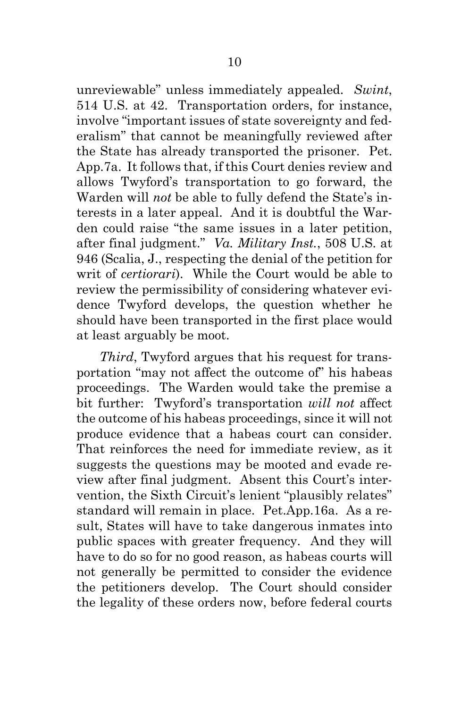<span id="page-14-0"></span>unreviewable" unless immediately appealed. *Swint*, 514 U.S. at 42.Transportation orders, for instance, involve "important issues of state sovereignty and federalism" that cannot be meaningfully reviewed after the State has already transported the prisoner.Pet. App.7a.It follows that, if this Court denies review and allows Twyford's transportation to go forward, the Warden will *not* be able to fully defend the State's interests in a later appeal.And it is doubtful the Warden could raise "the same issues in a later petition, after final judgment." *Va. Military Inst.*, 508 U.S. at 946 (Scalia, J., respecting the denial of the petition for writ of *certiorari*).While the Court would be able to review the permissibility of considering whatever evidence Twyford develops, the question whether he should have been transported in the first place would at least arguably be moot.

<span id="page-14-1"></span>*Third*, Twyford argues that his request for transportation "may not affect the outcome of" his habeas proceedings.The Warden would take the premise a bit further:Twyford's transportation *will not* affect the outcome of his habeas proceedings, since it will not produce evidence that a habeas court can consider. That reinforces the need for immediate review, as it suggests the questions may be mooted and evade review after final judgment. Absent this Court's intervention, the Sixth Circuit's lenient "plausibly relates" standard will remain in place. Pet.App.16a. As a result, States will have to take dangerous inmates into public spaces with greater frequency. And they will have to do so for no good reason, as habeas courts will not generally be permitted to consider the evidence the petitioners develop. The Court should consider the legality of these orders now, before federal courts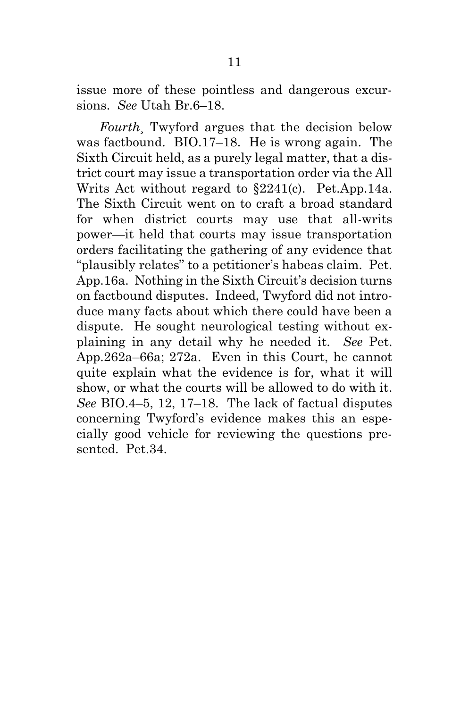issue more of these pointless and dangerous excursions. *See* Utah Br.6–18.

*Fourth*¸ Twyford argues that the decision below was factbound.BIO.17–18.He is wrong again.The Sixth Circuit held, as a purely legal matter, that a district court may issue a transportation order via the All Writs Act without regard to §2241(c).Pet.App.14a. The Sixth Circuit went on to craft a broad standard for when district courts may use that all-writs power—it held that courts may issue transportation orders facilitating the gathering of any evidence that "plausibly relates" to a petitioner's habeas claim.Pet. App.16a. Nothing in the Sixth Circuit's decision turns on factbound disputes. Indeed, Twyford did not introduce many facts about which there could have been a dispute. He sought neurological testing without explaining in any detail why he needed it. *See* Pet. App.262a–66a; 272a.Even in this Court, he cannot quite explain what the evidence is for, what it will show, or what the courts will be allowed to do with it. *See* BIO.4–5, 12, 17–18.The lack of factual disputes concerning Twyford's evidence makes this an especially good vehicle for reviewing the questions presented. Pet.34.